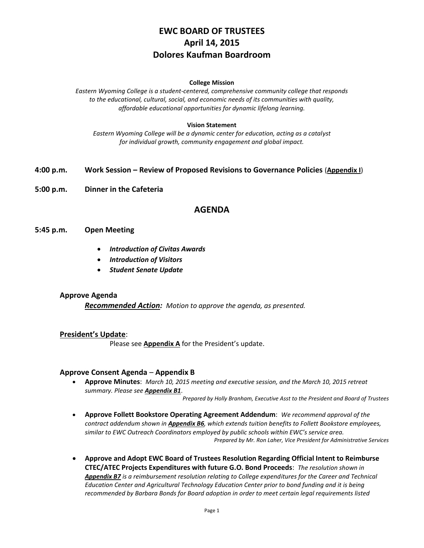# **EWC BOARD OF TRUSTEES April 14, 2015 Dolores Kaufman Boardroom**

#### **College Mission**

*Eastern Wyoming College is a student-centered, comprehensive community college that responds to the educational, cultural, social, and economic needs of its communities with quality, affordable educational opportunities for dynamic lifelong learning.*

#### **Vision Statement**

*Eastern Wyoming College will be a dynamic center for education, acting as a catalyst for individual growth, community engagement and global impact.*

#### **4:00 p.m. Work Session – Review of Proposed Revisions to Governance Policies** (**Appendix I**)

**5:00 p.m. Dinner in the Cafeteria**

## **AGENDA**

#### **5:45 p.m. Open Meeting**

- *Introduction of Civitas Awards*
- *Introduction of Visitors*
- *Student Senate Update*

#### **Approve Agenda**

*Recommended Action: Motion to approve the agenda, as presented.*

#### **President's Update**:

Please see **Appendix A** for the President's update.

#### **Approve Consent Agenda** – **Appendix B**

 **Approve Minutes**: *March 10, 2015 meeting and executive session, and the March 10, 2015 retreat summary. Please see Appendix B1*.

*Prepared by Holly Branham, Executive Asst to the President and Board of Trustees*

- **Approve Follett Bookstore Operating Agreement Addendum**: *We recommend approval of the contract addendum shown in Appendix B6, which extends tuition benefits to Follett Bookstore employees, similar to EWC Outreach Coordinators employed by public schools within EWC's service area. Prepared by Mr. Ron Laher, Vice President for Administrative Services*
- **Approve and Adopt EWC Board of Trustees Resolution Regarding Official Intent to Reimburse CTEC/ATEC Projects Expenditures with future G.O. Bond Proceeds**: *The resolution shown in Appendix B7 is a reimbursement resolution relating to College expenditures for the Career and Technical Education Center and Agricultural Technology Education Center prior to bond funding and it is being recommended by Barbara Bonds for Board adoption in order to meet certain legal requirements listed*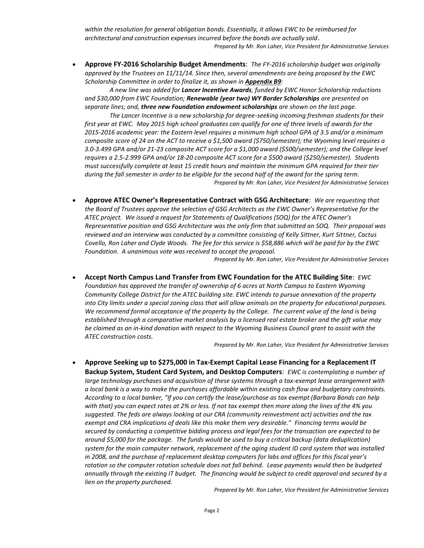*within the resolution for general obligation bonds. Essentially, it allows EWC to be reimbursed for architectural and construction expenses incurred before the bonds are actually sold*. *Prepared by Mr. Ron Laher, Vice President for Administrative Services*

 **Approve FY-2016 Scholarship Budget Amendments**: *The FY-2016 scholarship budget was originally approved by the Trustees on 11/11/14. Since then, several amendments are being proposed by the EWC Scholarship Committee in order to finalize it, as shown in Appendix B9:*

*A new line was added for Lancer Incentive Awards, funded by EWC Honor Scholarship reductions and \$30,000 from EWC Foundation; Renewable (year two) WY Border Scholarships are presented on separate lines; and, three new Foundation endowment scholarships are shown on the last page.*

*The Lancer Incentive is a new scholarship for degree-seeking incoming freshman students for their first year at EWC. May 2015 high school graduates can qualify for one of three levels of awards for the 2015-2016 academic year: the Eastern level requires a minimum high school GPA of 3.5 and/or a minimum composite score of 24 on the ACT to receive a \$1,500 award (\$750/semester); the Wyoming level requires a 3.0-3.499 GPA and/or 21-23 composite ACT score for a \$1,000 award (\$500/semester); and the College level requires a 2.5-2.999 GPA and/or 18-20 composite ACT score for a \$500 award (\$250/semester). Students must successfully complete at least 15 credit hours and maintain the minimum GPA required for their tier during the fall semester in order to be eligible for the second half of the award for the spring term. Prepared by Mr. Ron Laher, Vice President for Administrative Services*

 **Approve ATEC Owner's Representative Contract with GSG Architecture**: *We are requesting that the Board of Trustees approve the selection of GSG Architects as the EWC Owner's Representative for the ATEC project. We issued a request for Statements of Qualifications (SOQ) for the ATEC Owner's Representative position and GSG Architecture was the only firm that submitted an SOQ. Their proposal was reviewed and an interview was conducted by a committee consisting of Kelly Sittner, Kurt Sittner, Cactus Covello, Ron Laher and Clyde Woods. The fee for this service is \$58,886 which will be paid for by the EWC Foundation. A unanimous vote was received to accept the proposal.*

*Prepared by Mr. Ron Laher, Vice President for Administrative Services*

 **Accept North Campus Land Transfer from EWC Foundation for the ATEC Building Site**: *EWC Foundation has approved the transfer of ownership of 6 acres at North Campus to Eastern Wyoming Community College District for the ATEC building site. EWC intends to pursue annexation of the property into City limits under a special zoning class that will allow animals on the property for educational purposes. We recommend formal acceptance of the property by the College. The current value of the land is being established through a comparative market analysis by a licensed real estate broker and the gift value may be claimed as an in-kind donation with respect to the Wyoming Business Council grant to assist with the ATEC construction costs.*

*Prepared by Mr. Ron Laher, Vice President for Administrative Services*

 **Approve Seeking up to \$275,000 in Tax-Exempt Capital Lease Financing for a Replacement IT Backup System, Student Card System, and Desktop Computers**: *EWC is contemplating a number of large technology purchases and acquisition of these systems through a tax-exempt lease arrangement with a local bank is a way to make the purchases affordable within existing cash flow and budgetary constraints. According to a local banker, "If you can certify the lease/purchase as tax exempt (Barbara Bonds can help with that) you can expect rates at 2% or less. If not tax exempt then more along the lines of the 4% you suggested. The feds are always looking at our CRA (community reinvestment act) activities and the tax exempt and CRA implications of deals like this make them very desirable." Financing terms would be secured by conducting a competitive bidding process and legal fees for the transaction are expected to be around \$5,000 for the package. The funds would be used to buy a critical backup (data deduplication) system for the main computer network, replacement of the aging student ID card system that was installed in 2008, and the purchase of replacement desktop computers for labs and offices for this fiscal year's rotation so the computer rotation schedule does not fall behind. Lease payments would then be budgeted annually through the existing IT budget. The financing would be subject to credit approval and secured by a lien on the property purchased.* 

*Prepared by Mr. Ron Laher, Vice President for Administrative Services*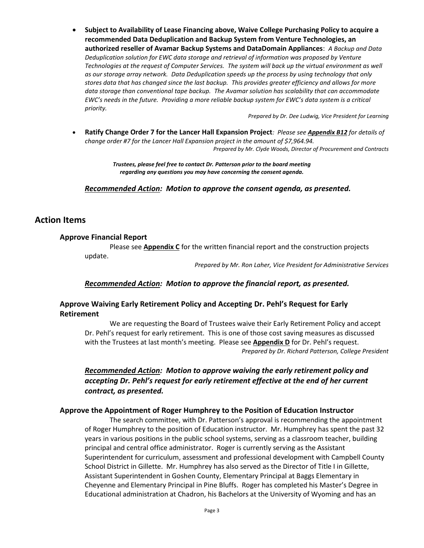**Subject to Availability of Lease Financing above, Waive College Purchasing Policy to acquire a recommended Data Deduplication and Backup System from Venture Technologies, an authorized reseller of Avamar Backup Systems and DataDomain Appliances**: *A Backup and Data Deduplication solution for EWC data storage and retrieval of information was proposed by Venture Technologies at the request of Computer Services. The system will back up the virtual environment as well as our storage array network. Data Deduplication speeds up the process by using technology that only stores data that has changed since the last backup. This provides greater efficiency and allows for more data storage than conventional tape backup. The Avamar solution has scalability that can accommodate EWC's needs in the future. Providing a more reliable backup system for EWC's data system is a critical priority.*

*Prepared by Dr. Dee Ludwig, Vice President for Learning*

 **Ratify Change Order 7 for the Lancer Hall Expansion Project***: Please see Appendix B12 for details of change order #7 for the Lancer Hall Expansion project in the amount of \$7,964.94. Prepared by Mr. Clyde Woods, Director of Procurement and Contracts*

> *Trustees, please feel free to contact Dr. Patterson prior to the board meeting regarding any questions you may have concerning the consent agenda.*

*Recommended Action: Motion to approve the consent agenda, as presented.*

### **Action Items**

#### **Approve Financial Report**

Please see **Appendix C** for the written financial report and the construction projects update.

*Prepared by Mr. Ron Laher, Vice President for Administrative Services*

### *Recommended Action: Motion to approve the financial report, as presented.*

### **Approve Waiving Early Retirement Policy and Accepting Dr. Pehl's Request for Early Retirement**

We are requesting the Board of Trustees waive their Early Retirement Policy and accept Dr. Pehl's request for early retirement. This is one of those cost saving measures as discussed with the Trustees at last month's meeting. Please see **Appendix D** for Dr. Pehl's request. *Prepared by Dr. Richard Patterson, College President*

*Recommended Action: Motion to approve waiving the early retirement policy and accepting Dr. Pehl's request for early retirement effective at the end of her current contract, as presented.*

#### **Approve the Appointment of Roger Humphrey to the Position of Education Instructor**

The search committee, with Dr. Patterson's approval is recommending the appointment of Roger Humphrey to the position of Education instructor. Mr. Humphrey has spent the past 32 years in various positions in the public school systems, serving as a classroom teacher, building principal and central office administrator. Roger is currently serving as the Assistant Superintendent for curriculum, assessment and professional development with Campbell County School District in Gillette. Mr. Humphrey has also served as the Director of Title I in Gillette, Assistant Superintendent in Goshen County, Elementary Principal at Baggs Elementary in Cheyenne and Elementary Principal in Pine Bluffs. Roger has completed his Master's Degree in Educational administration at Chadron, his Bachelors at the University of Wyoming and has an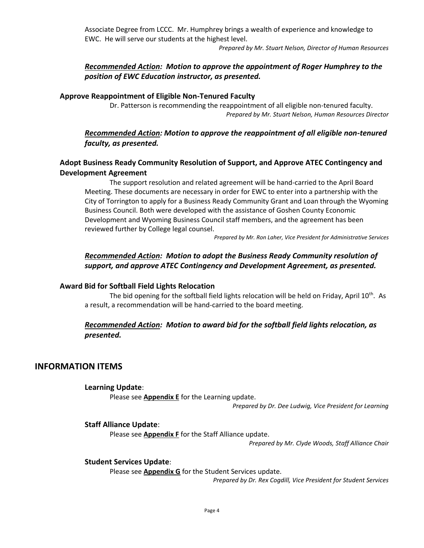Associate Degree from LCCC. Mr. Humphrey brings a wealth of experience and knowledge to EWC. He will serve our students at the highest level.

*Prepared by Mr. Stuart Nelson, Director of Human Resources*

## *Recommended Action: Motion to approve the appointment of Roger Humphrey to the position of EWC Education instructor, as presented.*

### **Approve Reappointment of Eligible Non-Tenured Faculty**

Dr. Patterson is recommending the reappointment of all eligible non-tenured faculty. *Prepared by Mr. Stuart Nelson, Human Resources Director*

## *Recommended Action: Motion to approve the reappointment of all eligible non-tenured faculty, as presented.*

## **Adopt Business Ready Community Resolution of Support, and Approve ATEC Contingency and Development Agreement**

The support resolution and related agreement will be hand-carried to the April Board Meeting. These documents are necessary in order for EWC to enter into a partnership with the City of Torrington to apply for a Business Ready Community Grant and Loan through the Wyoming Business Council. Both were developed with the assistance of Goshen County Economic Development and Wyoming Business Council staff members, and the agreement has been reviewed further by College legal counsel.

*Prepared by Mr. Ron Laher, Vice President for Administrative Services*

## *Recommended Action: Motion to adopt the Business Ready Community resolution of support, and approve ATEC Contingency and Development Agreement, as presented.*

### **Award Bid for Softball Field Lights Relocation**

The bid opening for the softball field lights relocation will be held on Friday, April  $10^{th}$ . As a result, a recommendation will be hand-carried to the board meeting.

## *Recommended Action: Motion to award bid for the softball field lights relocation, as presented.*

## **INFORMATION ITEMS**

### **Learning Update**:

Please see **Appendix E** for the Learning update.

*Prepared by Dr. Dee Ludwig, Vice President for Learning*

### **Staff Alliance Update**:

Please see **Appendix F** for the Staff Alliance update.

*Prepared by Mr. Clyde Woods, Staff Alliance Chair*

### **Student Services Update**:

Please see **Appendix G** for the Student Services update.

*Prepared by Dr. Rex Cogdill, Vice President for Student Services*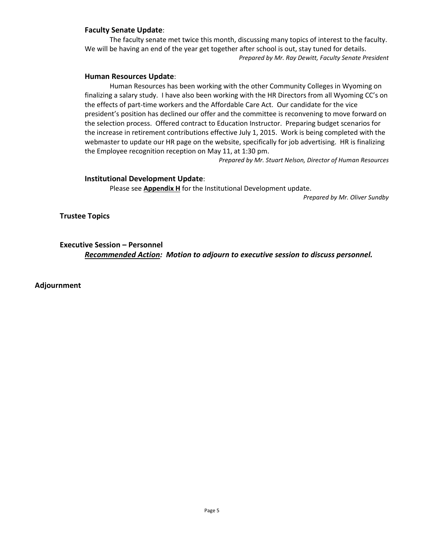### **Faculty Senate Update**:

The faculty senate met twice this month, discussing many topics of interest to the faculty. We will be having an end of the year get together after school is out, stay tuned for details. *Prepared by Mr. Ray Dewitt, Faculty Senate President*

### **Human Resources Update**:

Human Resources has been working with the other Community Colleges in Wyoming on finalizing a salary study. I have also been working with the HR Directors from all Wyoming CC's on the effects of part-time workers and the Affordable Care Act. Our candidate for the vice president's position has declined our offer and the committee is reconvening to move forward on the selection process. Offered contract to Education Instructor. Preparing budget scenarios for the increase in retirement contributions effective July 1, 2015. Work is being completed with the webmaster to update our HR page on the website, specifically for job advertising. HR is finalizing the Employee recognition reception on May 11, at 1:30 pm.

*Prepared by Mr. Stuart Nelson, Director of Human Resources*

#### **Institutional Development Update**:

Please see **Appendix H** for the Institutional Development update.

*Prepared by Mr. Oliver Sundby*

**Trustee Topics**

**Executive Session – Personnel** *Recommended Action: Motion to adjourn to executive session to discuss personnel.*

**Adjournment**